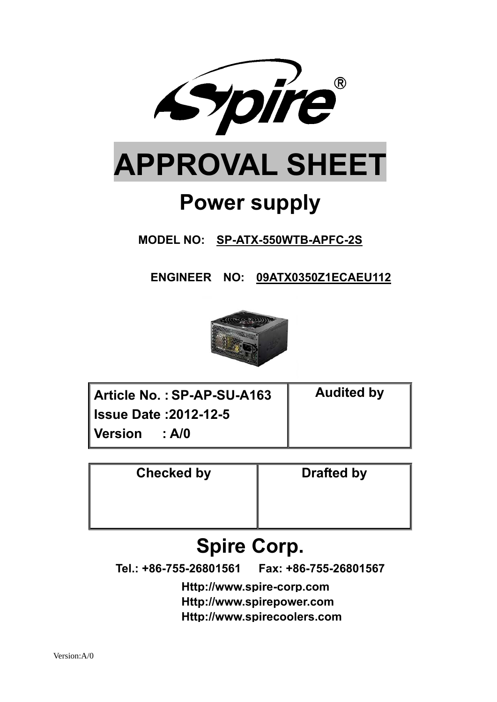

**MODEL NO: SP-ATX-550WTB-APFC-2S** 

 **ENGINEER NO: 09ATX0350Z1ECAEU112**



| Article No.: SP-AP-SU-A163   | <b>Audited by</b> |
|------------------------------|-------------------|
| <b>Issue Date: 2012-12-5</b> |                   |
| Version<br>: A/0             |                   |

| <b>Checked by</b> | <b>Drafted by</b> |
|-------------------|-------------------|
|                   |                   |
|                   |                   |

# **Spire Corp.**

**Tel.: +86-755-26801561 Fax: +86-755-26801567**

**Http://www.spire-corp.com Http://www.spirepower.com Http://www.spirecoolers.com**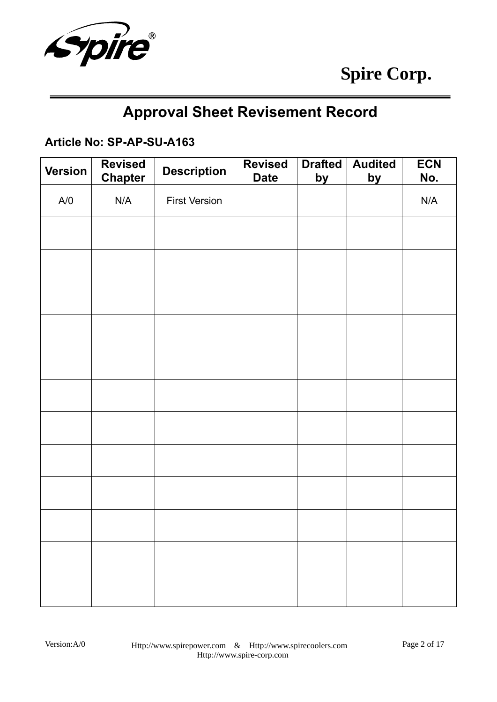

# **Approval Sheet Revisement Record**

### **Article No: SP-AP-SU-A163**

| <b>Version</b> | <b>Revised</b><br><b>Chapter</b> | <b>Description</b>   | <b>Revised</b><br><b>Date</b> | <b>Drafted</b><br><u>by</u> | <b>Audited</b><br><u>by</u> | <b>ECN</b><br>No. |
|----------------|----------------------------------|----------------------|-------------------------------|-----------------------------|-----------------------------|-------------------|
| A/O            | N/A                              | <b>First Version</b> |                               |                             |                             | N/A               |
|                |                                  |                      |                               |                             |                             |                   |
|                |                                  |                      |                               |                             |                             |                   |
|                |                                  |                      |                               |                             |                             |                   |
|                |                                  |                      |                               |                             |                             |                   |
|                |                                  |                      |                               |                             |                             |                   |
|                |                                  |                      |                               |                             |                             |                   |
|                |                                  |                      |                               |                             |                             |                   |
|                |                                  |                      |                               |                             |                             |                   |
|                |                                  |                      |                               |                             |                             |                   |
|                |                                  |                      |                               |                             |                             |                   |
|                |                                  |                      |                               |                             |                             |                   |
|                |                                  |                      |                               |                             |                             |                   |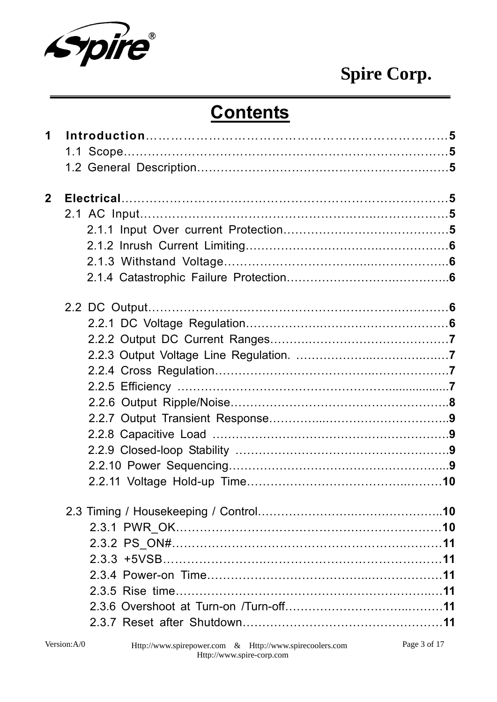

# **Contents**

| 1              |  |
|----------------|--|
| $\overline{2}$ |  |
|                |  |
|                |  |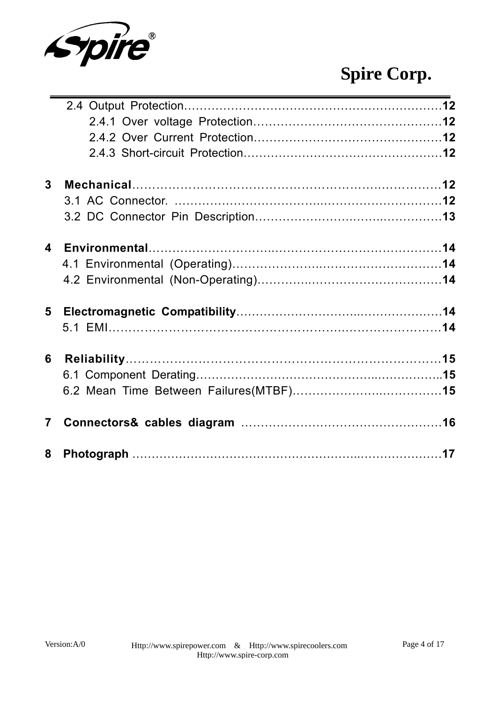

| $3\overline{3}$         |  |
|-------------------------|--|
|                         |  |
|                         |  |
| $\overline{\mathbf{4}}$ |  |
|                         |  |
|                         |  |
|                         |  |
|                         |  |
| 6                       |  |
|                         |  |
|                         |  |
| $\overline{7}$          |  |
|                         |  |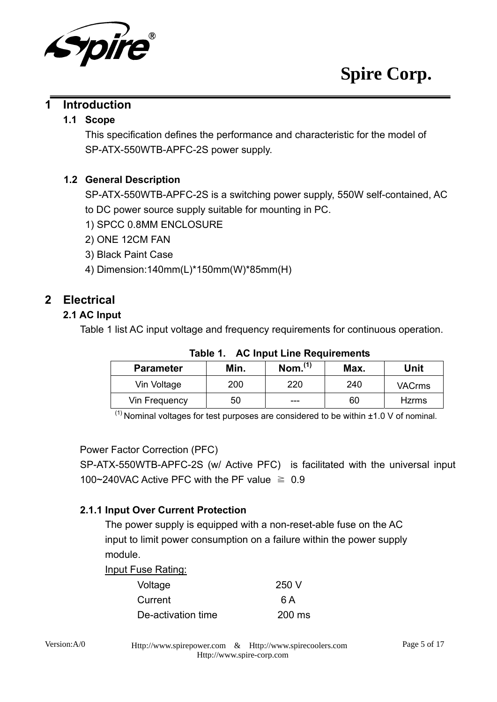

#### **1 Introduction**

#### **1.1 Scope**

This specification defines the performance and characteristic for the model of SP-ATX-550WTB-APFC-2S power supply.

#### **1.2 General Description**

SP-ATX-550WTB-APFC-2S is a switching power supply, 550W self-contained, AC to DC power source supply suitable for mounting in PC.

- 1) SPCC 0.8MM ENCLOSURE
- 2) ONE 12CM FAN
- 3) Black Paint Case
- 4) Dimension:140mm(L)\*150mm(W)\*85mm(H)

## **2 Electrical**

### **2.1 AC Input**

Table 1 list AC input voltage and frequency requirements for continuous operation.

| <b>Parameter</b> | Min. | $N$ om. $^{(1)}$ | Max. | Unit          |
|------------------|------|------------------|------|---------------|
| Vin Voltage      | 200  | 220              | 240  | <b>VACrms</b> |
| Vin Frequency    | 50   | ---              | 60   | <b>Hzrms</b>  |

**Table 1. AC Input Line Requirements** 

 $(1)$  Nominal voltages for test purposes are considered to be within  $\pm 1.0$  V of nominal.

Power Factor Correction (PFC)

SP-ATX-550WTB-APFC-2S (w/ Active PFC) is facilitated with the universal input 100~240VAC Active PFC with the PF value  $\geq 0.9$ 

#### **2.1.1 Input Over Current Protection**

The power supply is equipped with a non-reset-able fuse on the AC input to limit power consumption on a failure within the power supply module.

Input Fuse Rating:

| Voltage            | 250 V  |
|--------------------|--------|
| Current            | 6 A    |
| De-activation time | 200 ms |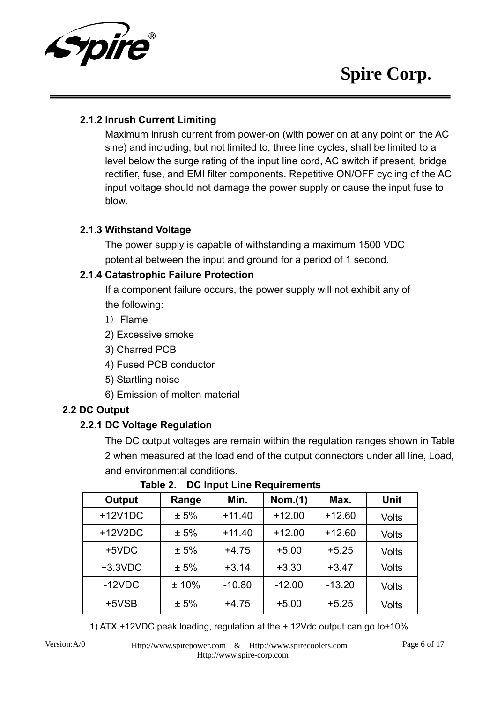

#### **2.1.2 Inrush Current Limiting**

Maximum inrush current from power-on (with power on at any point on the AC sine) and including, but not limited to, three line cycles, shall be limited to a level below the surge rating of the input line cord, AC switch if present, bridge rectifier, fuse, and EMI filter components. Repetitive ON/OFF cycling of the AC input voltage should not damage the power supply or cause the input fuse to blow.

#### **2.1.3 Withstand Voltage**

The power supply is capable of withstanding a maximum 1500 VDC potential between the input and ground for a period of 1 second.

#### **2.1.4 Catastrophic Failure Protection**

If a component failure occurs, the power supply will not exhibit any of the following:

- 1) Flame
- 2) Excessive smoke
- 3) Charred PCB
- 4) Fused PCB conductor
- 5) Startling noise
- 6) Emission of molten material

#### **2.2 DC Output**

#### **2.2.1 DC Voltage Regulation**

The DC output voltages are remain within the regulation ranges shown in Table 2 when measured at the load end of the output connectors under all line, Load, and environmental conditions.

| <b>Output</b> | Range | Min.     | Nom.(1)  | Max.     | <b>Unit</b>  |
|---------------|-------|----------|----------|----------|--------------|
| $+12V1DC$     | ± 5%  | $+11.40$ | $+12.00$ | $+12.60$ | <b>Volts</b> |
| $+12V2DC$     | ± 5%  | $+11.40$ | $+12.00$ | $+12.60$ | <b>Volts</b> |
| +5VDC         | ± 5%  | $+4.75$  | $+5.00$  | $+5.25$  | <b>Volts</b> |
| $+3.3$ VDC    | ± 5%  | $+3.14$  | $+3.30$  | $+3.47$  | <b>Volts</b> |
| $-12VDC$      | ±10%  | $-10.80$ | $-12.00$ | $-13.20$ | <b>Volts</b> |
| $+5VSB$       | ± 5%  | $+4.75$  | $+5.00$  | $+5.25$  | <b>Volts</b> |

**Table 2. DC Input Line Requirements**

1) ATX +12VDC peak loading, regulation at the + 12Vdc output can go to±10%.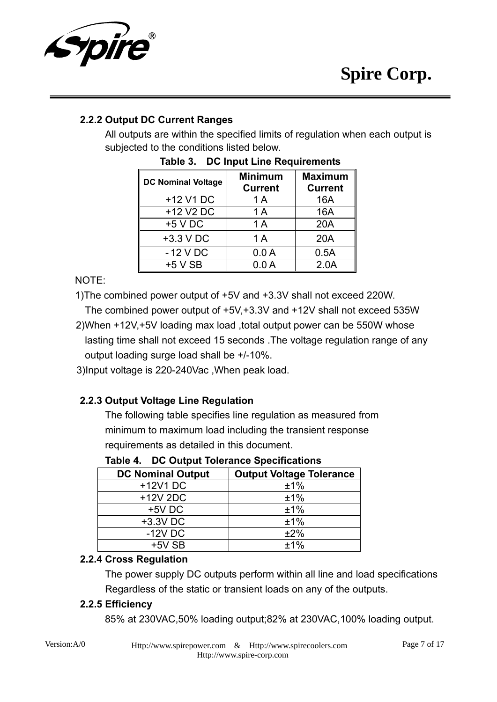

### **2.2.2 Output DC Current Ranges**

All outputs are within the specified limits of regulation when each output is subjected to the conditions listed below.

| <b>DC Nominal Voltage</b> | <b>Minimum</b><br><b>Current</b> | <b>Maximum</b><br><b>Current</b> |
|---------------------------|----------------------------------|----------------------------------|
| +12 V1 DC                 | 1 A                              | 16A                              |
| +12 V2 DC                 | 1A                               | 16A                              |
| $+5$ V DC                 | 1A                               | 20A                              |
| $+3.3$ V DC               | 1A                               | 20A                              |
| $-12$ V DC                | 0.0A                             | 0.5A                             |
| $+5$ V SB                 | 0.0 A                            | 2.0A                             |

|  | Table 3. DC Input Line Requirements |
|--|-------------------------------------|
|  |                                     |

NOTE:

1)The combined power output of +5V and +3.3V shall not exceed 220W.

- The combined power output of +5V,+3.3V and +12V shall not exceed 535W 2)When +12V,+5V loading max load ,total output power can be 550W whose lasting time shall not exceed 15 seconds .The voltage regulation range of any output loading surge load shall be +/-10%.
- 3)Input voltage is 220-240Vac ,When peak load.

### **2.2.3 Output Voltage Line Regulation**

The following table specifies line regulation as measured from minimum to maximum load including the transient response requirements as detailed in this document.

| <b>DC Nominal Output</b> | <b>Output Voltage Tolerance</b> |
|--------------------------|---------------------------------|
| +12V1 DC                 | ±1%                             |
| +12V 2DC                 | ±1%                             |
| $+5V$ DC                 | ±1%                             |
| +3.3V DC                 | ±1%                             |
| $-12V$ DC                | ±2%                             |
| $+5V$ SB                 | $+1%$                           |

**Table 4. DC Output Tolerance Specifications** 

#### **2.2.4 Cross Regulation**

The power supply DC outputs perform within all line and load specifications Regardless of the static or transient loads on any of the outputs.

#### **2.2.5 Efficiency**

85% at 230VAC,50% loading output;82% at 230VAC,100% loading output.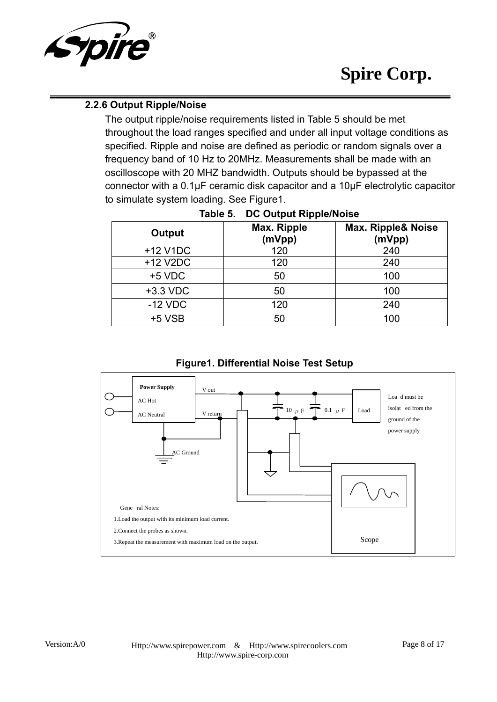

#### **2.2.6 Output Ripple/Noise**

The output ripple/noise requirements listed in Table 5 should be met throughout the load ranges specified and under all input voltage conditions as specified. Ripple and noise are defined as periodic or random signals over a frequency band of 10 Hz to 20MHz. Measurements shall be made with an oscilloscope with 20 MHZ bandwidth. Outputs should be bypassed at the connector with a 0.1μF ceramic disk capacitor and a 10μF electrolytic capacitor to simulate system loading. See Figure1.

| Output     | Max. Ripple<br>(mVpp) | <b>Max. Ripple&amp; Noise</b><br>(mVpp) |
|------------|-----------------------|-----------------------------------------|
| +12 V1DC   | 120                   | 240                                     |
| +12 V2DC   | 120                   | 240                                     |
| $+5$ VDC   | 50                    | 100                                     |
| $+3.3$ VDC | 50                    | 100                                     |
| $-12$ VDC  | 120                   | 240                                     |
| $+5$ VSB   | 50                    | 100                                     |

#### **Table 5. DC Output Ripple/Noise**



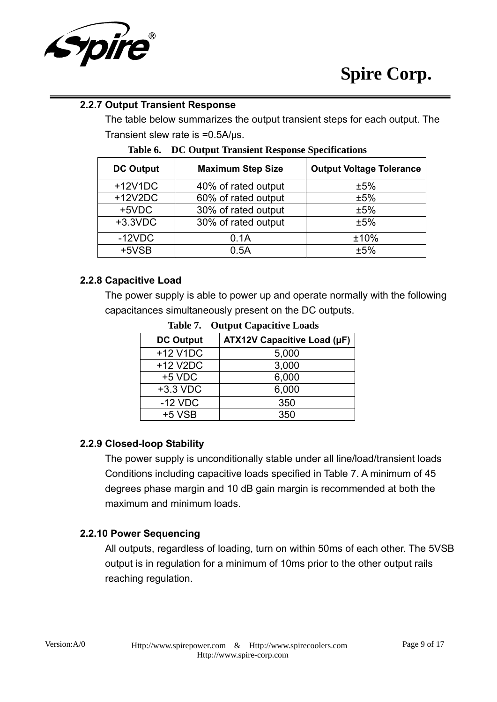

#### **2.2.7 Output Transient Response**

The table below summarizes the output transient steps for each output. The Transient slew rate is =0.5A/μs.

| <b>DC Output</b> | <b>Maximum Step Size</b> | <b>Output Voltage Tolerance</b> |
|------------------|--------------------------|---------------------------------|
| $+12V1DC$        | 40% of rated output      | ±5%                             |
| $+12V2DC$        | 60% of rated output      | ±5%                             |
| +5VDC            | 30% of rated output      | ±5%                             |
| $+3.3$ VDC       | 30% of rated output      | ±5%                             |
| $-12VDC$         | 0.1A                     | ±10%                            |
| $+5VSB$          | 0.5A                     | ±5%                             |

#### **Table 6. DC Output Transient Response Specifications**

#### **2.2.8 Capacitive Load**

The power supply is able to power up and operate normally with the following capacitances simultaneously present on the DC outputs.

| <b>DC Output</b> | ATX12V Capacitive Load (µF) |
|------------------|-----------------------------|
| +12 V1DC         | 5,000                       |
| +12 V2DC         | 3,000                       |
| $+5$ VDC         | 6,000                       |
| +3.3 VDC         | 6,000                       |
| $-12$ VDC        | 350                         |
| $+5$ VSB         | 350                         |

**Table 7. Output Capacitive Loads** 

#### **2.2.9 Closed-loop Stability**

The power supply is unconditionally stable under all line/load/transient loads Conditions including capacitive loads specified in Table 7. A minimum of 45 degrees phase margin and 10 dB gain margin is recommended at both the maximum and minimum loads.

#### **2.2.10 Power Sequencing**

All outputs, regardless of loading, turn on within 50ms of each other. The 5VSB output is in regulation for a minimum of 10ms prior to the other output rails reaching regulation.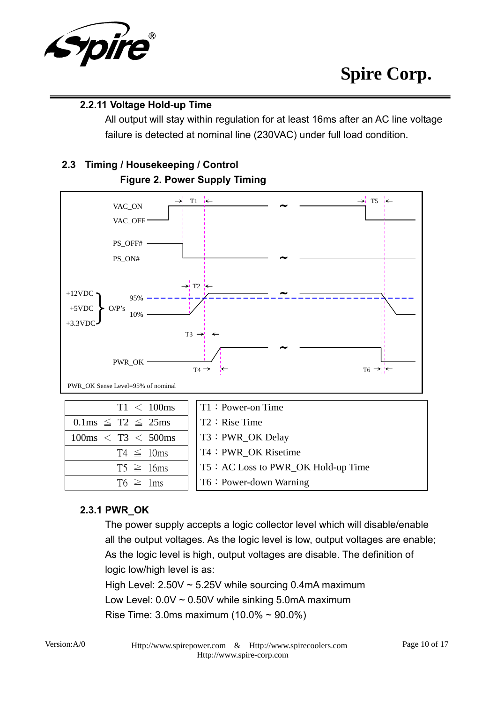

#### **2.2.11 Voltage Hold-up Time**

All output will stay within regulation for at least 16ms after an AC line voltage failure is detected at nominal line (230VAC) under full load condition.

# **2.3 Timing / Housekeeping / Control**



### **Figure 2. Power Supply Timing**

## **2.3.1 PWR\_OK**

The power supply accepts a logic collector level which will disable/enable all the output voltages. As the logic level is low, output voltages are enable; As the logic level is high, output voltages are disable. The definition of logic low/high level is as: High Level:  $2.50V \sim 5.25V$  while sourcing 0.4mA maximum

Low Level:  $0.0V \sim 0.50V$  while sinking 5.0mA maximum

Rise Time: 3.0ms maximum (10.0% ~ 90.0%)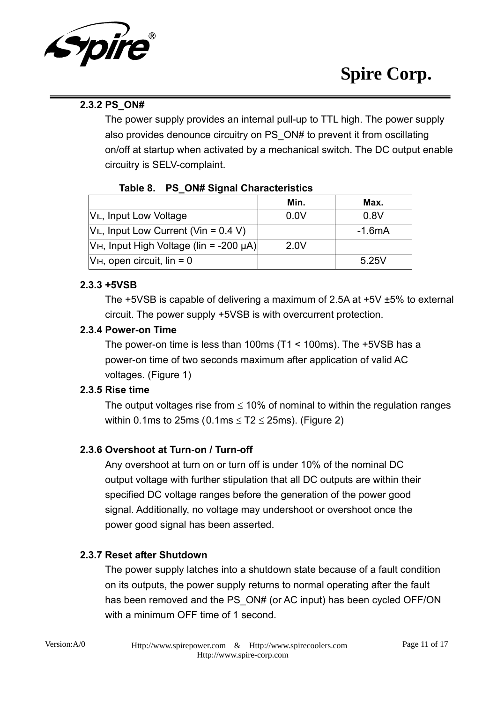

### **2.3.2 PS\_ON#**

The power supply provides an internal pull-up to TTL high. The power supply also provides denounce circuitry on PS\_ON# to prevent it from oscillating on/off at startup when activated by a mechanical switch. The DC output enable circuitry is SELV-complaint.

#### **Table 8. PS\_ON# Signal Characteristics**

|                                                      | Min. | Max.     |
|------------------------------------------------------|------|----------|
| V <sub>IL</sub> , Input Low Voltage                  | 0.0V | 0.8V     |
| $V_{IL}$ , Input Low Current (Vin = 0.4 V)           |      | $-1.6mA$ |
| V <sub>IH</sub> , Input High Voltage (lin = -200 µA) | 2.0V |          |
| $VIH$ , open circuit, lin = 0                        |      | 5.25V    |

#### **2.3.3 +5VSB**

The +5VSB is capable of delivering a maximum of 2.5A at +5V ±5% to external circuit. The power supply +5VSB is with overcurrent protection.

### **2.3.4 Power-on Time**

The power-on time is less than 100ms (T1 < 100ms). The +5VSB has a power-on time of two seconds maximum after application of valid AC voltages. (Figure 1)

### **2.3.5 Rise time**

The output voltages rise from  $\leq 10\%$  of nominal to within the regulation ranges within 0.1ms to 25ms (0.1ms  $\leq$  T2  $\leq$  25ms). (Figure 2)

### **2.3.6 Overshoot at Turn-on / Turn-off**

Any overshoot at turn on or turn off is under 10% of the nominal DC output voltage with further stipulation that all DC outputs are within their specified DC voltage ranges before the generation of the power good signal. Additionally, no voltage may undershoot or overshoot once the power good signal has been asserted.

### **2.3.7 Reset after Shutdown**

The power supply latches into a shutdown state because of a fault condition on its outputs, the power supply returns to normal operating after the fault has been removed and the PS ON# (or AC input) has been cycled OFF/ON with a minimum OFF time of 1 second.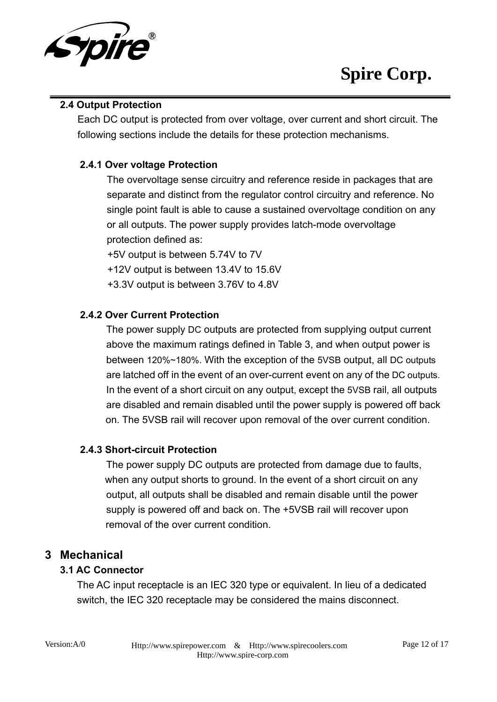

#### **2.4 Output Protection**

Each DC output is protected from over voltage, over current and short circuit. The following sections include the details for these protection mechanisms.

#### **2.4.1 Over voltage Protection**

The overvoltage sense circuitry and reference reside in packages that are separate and distinct from the regulator control circuitry and reference. No single point fault is able to cause a sustained overvoltage condition on any or all outputs. The power supply provides latch-mode overvoltage protection defined as:

+5V output is between 5.74V to 7V

+12V output is between 13.4V to 15.6V

+3.3V output is between 3.76V to 4.8V

#### **2.4.2 Over Current Protection**

The power supply DC outputs are protected from supplying output current above the maximum ratings defined in Table 3, and when output power is between 120%~180%. With the exception of the 5VSB output, all DC outputs are latched off in the event of an over-current event on any of the DC outputs. In the event of a short circuit on any output, except the 5VSB rail, all outputs are disabled and remain disabled until the power supply is powered off back on. The 5VSB rail will recover upon removal of the over current condition.

#### **2.4.3 Short-circuit Protection**

The power supply DC outputs are protected from damage due to faults, when any output shorts to ground. In the event of a short circuit on any output, all outputs shall be disabled and remain disable until the power supply is powered off and back on. The +5VSB rail will recover upon removal of the over current condition.

#### **3 Mechanical**

#### **3.1 AC Connector**

The AC input receptacle is an IEC 320 type or equivalent. In lieu of a dedicated switch, the IEC 320 receptacle may be considered the mains disconnect.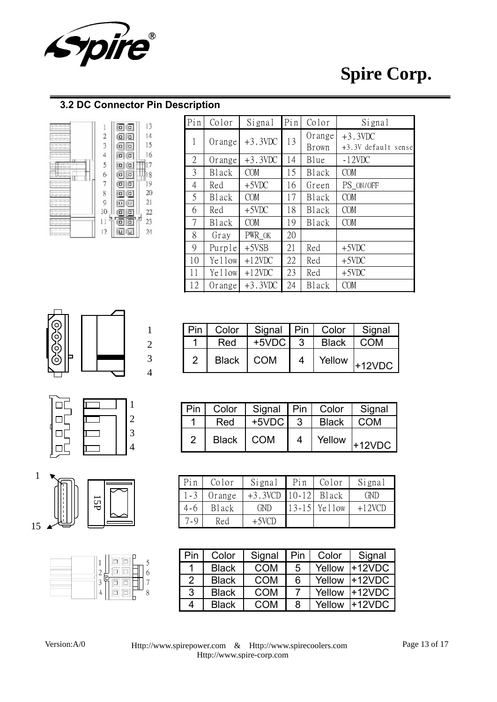

#### **3.2 DC Connector Pin Description**



| Pin            | Color  | Signal     | Pin | Color        | Signal              |
|----------------|--------|------------|-----|--------------|---------------------|
| 1              | Orange | $+3.3VDC$  | 13  | Orange       | $+3.3VDC$           |
|                |        |            |     | <b>Brown</b> | +3.3V default sense |
| $\overline{2}$ | Orange | $+3.3VDC$  | 14  | Blue         | $-12VDC$            |
| 3              | Black  | <b>COM</b> | 15  | Black        | <b>COM</b>          |
| 4              | Red    | $+5$ VDC   | 16  | Green        | PS_ON/OFF           |
| 5              | Black  | <b>COM</b> | 17  | Black        | <b>COM</b>          |
| 6              | Red    | $+5$ VDC   | 18  | Black        | <b>COM</b>          |
| 7              | Black  | <b>COM</b> | 19  | Black        | <b>COM</b>          |
| 8              | Gray   | PWR OK     | 20  |              |                     |
| 9              | Purple | $+5VSB$    | 21  | Red          | $+5VDC$             |
| 10             | Yellow | $+12$ VDC  | 22  | Red          | $+5VDC$             |
| 11             | Yellow | $+12$ VDC  | 23  | Red          | $+5VDC$             |
| 12             | Orange | $+3.3VDC$  | 24  | Black        | <b>COM</b>          |









| Pin | Color        | Signal Pin Color |              | Signal                                    |
|-----|--------------|------------------|--------------|-------------------------------------------|
|     | Red          | $+5VDC$ 3        | <b>Black</b> | COM                                       |
|     | <b>Black</b> | <b>COM</b>       |              | $\frac{1}{1}$ Yellow $\frac{1}{1}$ +12VDC |

| $1$ Pin $\perp$ |             | Color   Signal   Pin   Color |                |       | Signal                                                 |
|-----------------|-------------|------------------------------|----------------|-------|--------------------------------------------------------|
|                 | Red         | $+5VDC$ 3                    |                | Black | <b>COM</b>                                             |
| $\overline{2}$  | Black   COM |                              | $\overline{4}$ |       | $\frac{1}{1}$ Yellow $\frac{1}{1}$ 12VDC $\frac{1}{1}$ |

| Pin     | Color  | Signal                | Pin       | Color  | Signal   |
|---------|--------|-----------------------|-----------|--------|----------|
| $1 - 3$ | Orange | $+3.3VCD$ 10-12 Black |           |        | GND      |
| $4 - 6$ | Black  | <b>GND</b>            | $13 - 15$ | Yellow | $+12VCD$ |
| $7 - 9$ | Red    | +5VCD                 |           |        |          |

| Pin           | Color        | Signal     | Pin | Color  | Signal   |
|---------------|--------------|------------|-----|--------|----------|
| 1             | <b>Black</b> | <b>COM</b> | 5   | Yellow | $+12VDC$ |
| $\mathcal{P}$ | <b>Black</b> | <b>COM</b> | 6   | Yellow | $+12VDC$ |
| 3             | <b>Black</b> | <b>COM</b> |     | Yellow | $+12VDC$ |
| 4             | <b>Black</b> | COM        | 8   | Yellow | $+12VDC$ |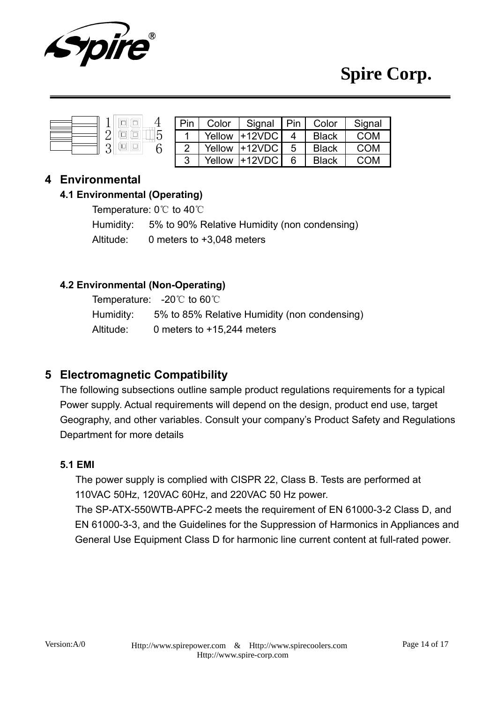

|--|--|

| Pin | Color  | Signal   Pin |   | Color        | Signal |
|-----|--------|--------------|---|--------------|--------|
|     | Yellow | $+12VDC$     |   | <b>Black</b> | COM    |
| 2   | Yellow | $+12VDC$     | 5 | <b>Black</b> | COM    |
| 3   | Yellow | $+12VDC$     |   | <b>Black</b> | COM    |

### **4 Environmental**

#### **4.1 Environmental (Operating)**

Temperature: 0℃ to 40℃

Humidity: 5% to 90% Relative Humidity (non condensing)

Altitude: 0 meters to +3,048 meters

### **4.2 Environmental (Non-Operating)**

Temperature: -20℃ to 60℃ Humidity: 5% to 85% Relative Humidity (non condensing) Altitude: 0 meters to +15,244 meters

## **5 Electromagnetic Compatibility**

The following subsections outline sample product regulations requirements for a typical Power supply. Actual requirements will depend on the design, product end use, target Geography, and other variables. Consult your company's Product Safety and Regulations Department for more details

#### **5.1 EMI**

The power supply is complied with CISPR 22, Class B. Tests are performed at 110VAC 50Hz, 120VAC 60Hz, and 220VAC 50 Hz power. The SP-ATX-550WTB-APFC-2 meets the requirement of EN 61000-3-2 Class D, and EN 61000-3-3, and the Guidelines for the Suppression of Harmonics in Appliances and General Use Equipment Class D for harmonic line current content at full-rated power.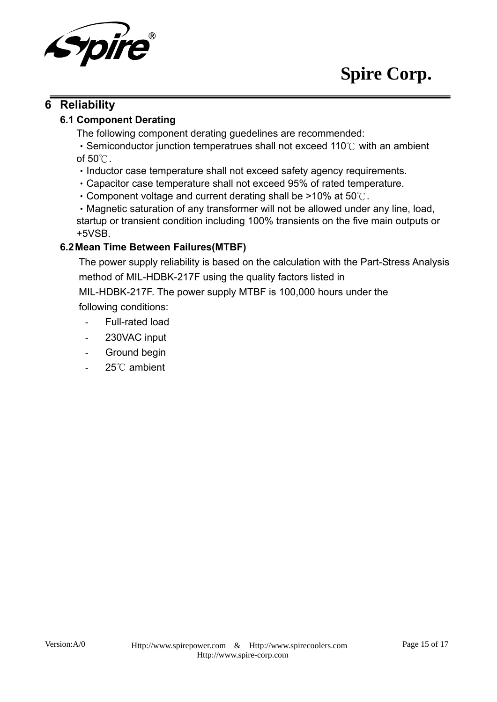

## **6 Reliability**

#### **6.1 Component Derating**

The following component derating guedelines are recommended:

‧Semiconductor junction temperatrues shall not exceed 110℃ with an ambient of 50℃.

- ‧Inductor case temperature shall not exceed safety agency requirements.
- ‧Capacitor case temperature shall not exceed 95% of rated temperature.
- ‧Component voltage and current derating shall be >10% at 50℃.

‧Magnetic saturation of any transformer will not be allowed under any line, load, startup or transient condition including 100% transients on the five main outputs or +5VSB.

#### **6.2 Mean Time Between Failures(MTBF)**

The power supply reliability is based on the calculation with the Part-Stress Analysis method of MIL-HDBK-217F using the quality factors listed in

MIL-HDBK-217F. The power supply MTBF is 100,000 hours under the following conditions:

- Full-rated load
- 230VAC input
- Ground begin
- 25℃ ambient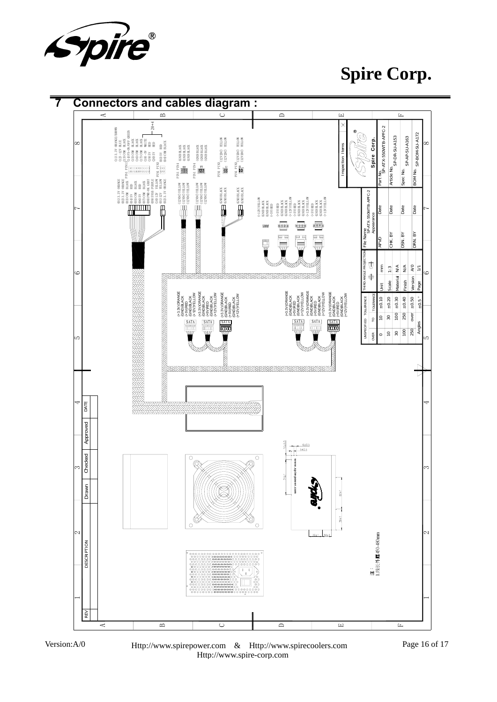

**Spire Corp.**





Version:A/0 Page 16 of 17 Http://www.spirepower.com & Http://www.spirecoolers.com Http://www.spire-corp.com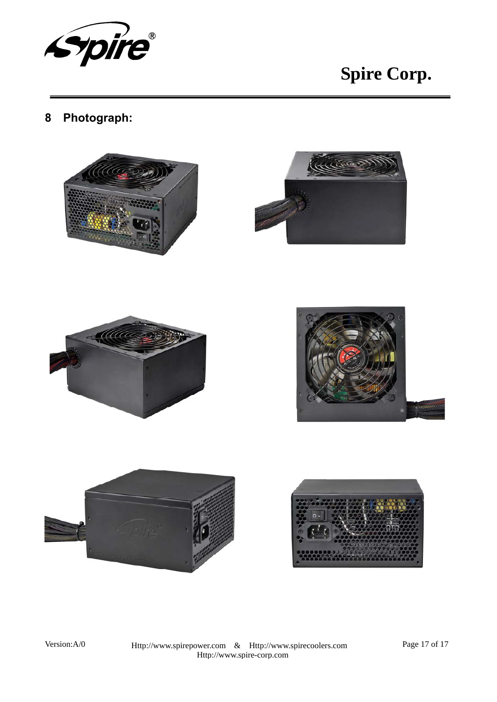

# **8 Photograph:**







Version:A/0 Page 17 of 17 Http://www.spirepower.com & Http://www.spirecoolers.com Http://www.spire-corp.com